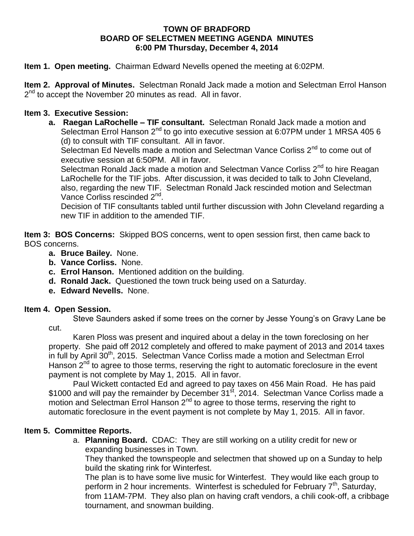### **TOWN OF BRADFORD BOARD OF SELECTMEN MEETING AGENDA MINUTES 6:00 PM Thursday, December 4, 2014**

**Item 1. Open meeting.** Chairman Edward Nevells opened the meeting at 6:02PM.

**Item 2. Approval of Minutes.** Selectman Ronald Jack made a motion and Selectman Errol Hanson 2<sup>nd</sup> to accept the November 20 minutes as read. All in favor.

## **Item 3. Executive Session:**

**a. Raegan LaRochelle – TIF consultant.** Selectman Ronald Jack made a motion and Selectman Errol Hanson 2<sup>nd</sup> to go into executive session at 6:07PM under 1 MRSA 405 6 (d) to consult with TIF consultant. All in favor.

Selectman Ed Nevells made a motion and Selectman Vance Corliss 2<sup>nd</sup> to come out of executive session at 6:50PM. All in favor.

Selectman Ronald Jack made a motion and Selectman Vance Corliss 2<sup>nd</sup> to hire Reagan LaRochelle for the TIF jobs. After discussion, it was decided to talk to John Cleveland, also, regarding the new TIF. Selectman Ronald Jack rescinded motion and Selectman Vance Corliss rescinded 2<sup>nd</sup>.

Decision of TIF consultants tabled until further discussion with John Cleveland regarding a new TIF in addition to the amended TIF.

**Item 3: BOS Concerns:** Skipped BOS concerns, went to open session first, then came back to BOS concerns.

- **a. Bruce Bailey.** None.
- **b. Vance Corliss.** None.
- **c. Errol Hanson.** Mentioned addition on the building.
- **d. Ronald Jack.** Questioned the town truck being used on a Saturday.
- **e. Edward Nevells.** None.

### **Item 4. Open Session.**

Steve Saunders asked if some trees on the corner by Jesse Young's on Gravy Lane be cut.

Karen Ploss was present and inquired about a delay in the town foreclosing on her property. She paid off 2012 completely and offered to make payment of 2013 and 2014 taxes in full by April 30<sup>th</sup>, 2015. Selectman Vance Corliss made a motion and Selectman Errol Hanson 2<sup>nd</sup> to agree to those terms, reserving the right to automatic foreclosure in the event payment is not complete by May 1, 2015. All in favor.

Paul Wickett contacted Ed and agreed to pay taxes on 456 Main Road. He has paid \$1000 and will pay the remainder by December 31<sup>st</sup>, 2014. Selectman Vance Corliss made a motion and Selectman Errol Hanson  $2^{nd}$  to agree to those terms, reserving the right to automatic foreclosure in the event payment is not complete by May 1, 2015. All in favor.

# **Item 5. Committee Reports.**

a. **Planning Board.** CDAC: They are still working on a utility credit for new or expanding businesses in Town.

They thanked the townspeople and selectmen that showed up on a Sunday to help build the skating rink for Winterfest.

The plan is to have some live music for Winterfest. They would like each group to perform in 2 hour increments. Winterfest is scheduled for February  $7<sup>th</sup>$ , Saturday, from 11AM-7PM. They also plan on having craft vendors, a chili cook-off, a cribbage tournament, and snowman building.